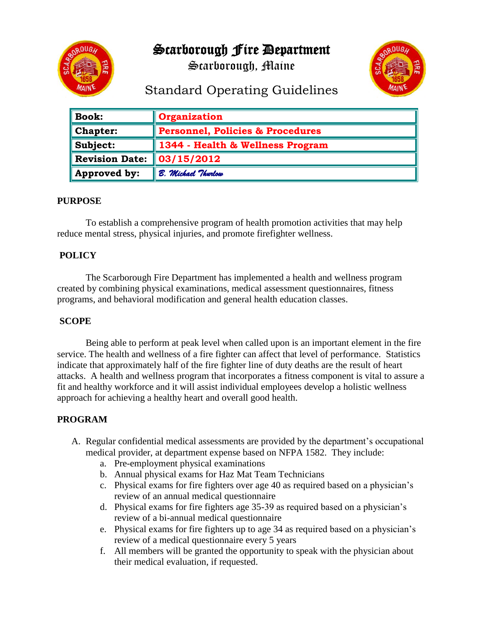

Scarborough Fire Department

Scarborough, Maine



# Standard Operating Guidelines

| <b>Book:</b>          | <b>Organization</b>                         |
|-----------------------|---------------------------------------------|
| Chapter:              | <b>Personnel, Policies &amp; Procedures</b> |
| Subject:              | 1344 - Health & Wellness Program            |
| <b>Revision Date:</b> | 03/15/2012                                  |
| Approved by:          | B. Michael Thurlow                          |

## **PURPOSE**

To establish a comprehensive program of health promotion activities that may help reduce mental stress, physical injuries, and promote firefighter wellness.

## **POLICY**

 The Scarborough Fire Department has implemented a health and wellness program created by combining physical examinations, medical assessment questionnaires, fitness programs, and behavioral modification and general health education classes.

## **SCOPE**

 Being able to perform at peak level when called upon is an important element in the fire service. The health and wellness of a fire fighter can affect that level of performance. Statistics indicate that approximately half of the fire fighter line of duty deaths are the result of heart attacks. A health and wellness program that incorporates a fitness component is vital to assure a fit and healthy workforce and it will assist individual employees develop a holistic wellness approach for achieving a healthy heart and overall good health.

## **PROGRAM**

- A. Regular confidential medical assessments are provided by the department's occupational medical provider, at department expense based on NFPA 1582. They include:
	- a. Pre-employment physical examinations
	- b. Annual physical exams for Haz Mat Team Technicians
	- c. Physical exams for fire fighters over age 40 as required based on a physician's review of an annual medical questionnaire
	- d. Physical exams for fire fighters age 35-39 as required based on a physician's review of a bi-annual medical questionnaire
	- e. Physical exams for fire fighters up to age 34 as required based on a physician's review of a medical questionnaire every 5 years
	- f. All members will be granted the opportunity to speak with the physician about their medical evaluation, if requested.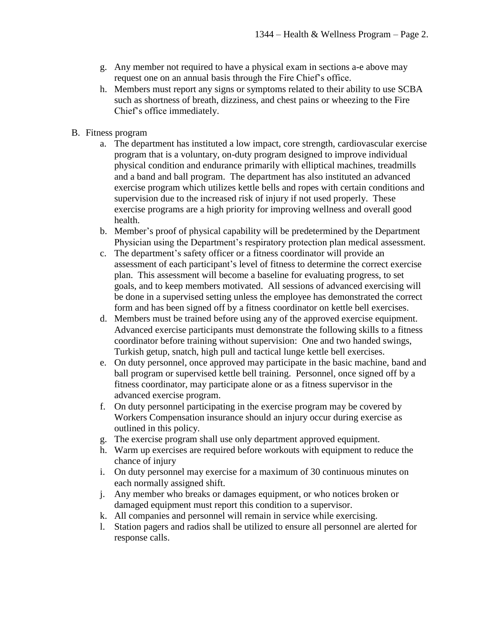- g. Any member not required to have a physical exam in sections a-e above may request one on an annual basis through the Fire Chief's office.
- h. Members must report any signs or symptoms related to their ability to use SCBA such as shortness of breath, dizziness, and chest pains or wheezing to the Fire Chief's office immediately.
- B. Fitness program
	- a. The department has instituted a low impact, core strength, cardiovascular exercise program that is a voluntary, on-duty program designed to improve individual physical condition and endurance primarily with elliptical machines, treadmills and a band and ball program. The department has also instituted an advanced exercise program which utilizes kettle bells and ropes with certain conditions and supervision due to the increased risk of injury if not used properly. These exercise programs are a high priority for improving wellness and overall good health.
	- b. Member's proof of physical capability will be predetermined by the Department Physician using the Department's respiratory protection plan medical assessment.
	- c. The department's safety officer or a fitness coordinator will provide an assessment of each participant's level of fitness to determine the correct exercise plan.This assessment will become a baseline for evaluating progress, to set goals, and to keep members motivated. All sessions of advanced exercising will be done in a supervised setting unless the employee has demonstrated the correct form and has been signed off by a fitness coordinator on kettle bell exercises.
	- d. Members must be trained before using any of the approved exercise equipment. Advanced exercise participants must demonstrate the following skills to a fitness coordinator before training without supervision: One and two handed swings, Turkish getup, snatch, high pull and tactical lunge kettle bell exercises.
	- e. On duty personnel, once approved may participate in the basic machine, band and ball program or supervised kettle bell training. Personnel, once signed off by a fitness coordinator, may participate alone or as a fitness supervisor in the advanced exercise program.
	- f. On duty personnel participating in the exercise program may be covered by Workers Compensation insurance should an injury occur during exercise as outlined in this policy.
	- g. The exercise program shall use only department approved equipment.
	- h. Warm up exercises are required before workouts with equipment to reduce the chance of injury
	- i. On duty personnel may exercise for a maximum of 30 continuous minutes on each normally assigned shift.
	- j. Any member who breaks or damages equipment, or who notices broken or damaged equipment must report this condition to a supervisor.
	- k. All companies and personnel will remain in service while exercising.
	- l. Station pagers and radios shall be utilized to ensure all personnel are alerted for response calls.